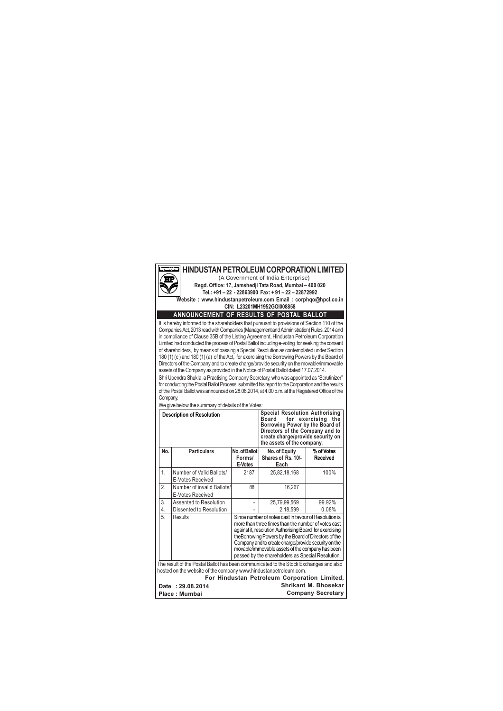

### **HINDUSTAN PETROLEUM CORPORATION LIMITED**

(A Government of India Enterprise) **Regd. Office: 17, Jamshedji Tata Road, Mumbai – 400 020 Tel.: +91 – 22 - 22863900 Fax: + 91 – 22 – 22872992**

**Website : www.hindustanpetroleum.com Email : corphqo@hpcl.co.in CIN: L23201MH1952GOI008858**

#### **ANNOUNCEMENT OF RESULTS OF POSTAL BALLOT**

It is hereby informed to the shareholders that pursuant to provisions of Section 110 of the Companies Act, 2013 read with Companies (Management and Administration) Rules, 2014 and in compliance of Clause 35B of the Listing Agreement, Hindustan Petroleum Corporation Limited had conducted the process of Postal Ballot including e-voting for seeking the consent of shareholders, by means of passing a Special Resolution as contemplated under Section 180 (1) (c ) and 180 (1) (a) of the Act, for exercising the Borrowing Powers by the Board of Directors of the Company and to create charge/provide security on the movable/immovable assets of the Company as provided in the Notice of Postal Ballot dated 17.07.2014.

Shri Upendra Shukla, a Practising Company Secretary, who was appointed as "Scrutinizer" for conducting the Postal Ballot Process, submitted his report to the Corporation and the results of the Postal Ballot was announced on 28.08.2014, at 4.00 p.m. at the Registered Office of the Company.

|      | <b>Description of Resolution</b>                                                      |                                    | <b>Special Resolution Authorising</b><br>Board<br>Borrowing Power by the Board of<br>Directors of the Company and to<br>create charge/provide security on<br>the assets of the company.                                                                                                                                                                                                           | for exercising<br>the       |
|------|---------------------------------------------------------------------------------------|------------------------------------|---------------------------------------------------------------------------------------------------------------------------------------------------------------------------------------------------------------------------------------------------------------------------------------------------------------------------------------------------------------------------------------------------|-----------------------------|
| No.  | <b>Particulars</b>                                                                    | No. of Ballot<br>Forms/<br>E-Votes | No. of Equity<br>Shares of Rs. 10/-<br>Each                                                                                                                                                                                                                                                                                                                                                       | % of Votes<br>Received      |
| 1.   | Number of Valid Ballots/<br>E-Votes Received                                          | 2187                               | 25,82,18,168                                                                                                                                                                                                                                                                                                                                                                                      | 100%                        |
| 2.   | Number of invalid Ballots/<br>E-Votes Received                                        | 88                                 | 16,267                                                                                                                                                                                                                                                                                                                                                                                            |                             |
| 3.   | Assented to Resolution                                                                | ٠                                  | 25,79,99,569                                                                                                                                                                                                                                                                                                                                                                                      | 99.92%                      |
| 4.   | Dissented to Resolution                                                               |                                    | 2,18,599                                                                                                                                                                                                                                                                                                                                                                                          | 0.08%                       |
| 5.   | Results                                                                               |                                    | Since number of votes cast in favour of Resolution is<br>more than three times than the number of votes cast<br>against it, resolution Authorising Board for exercising<br>the Borrowing Powers by the Board of Directors of the<br>Company and to create charge/provide security on the<br>movable/immovable assets of the company has been<br>passed by the shareholders as Special Resolution. |                             |
|      | The result of the Postal Ballot has been communicated to the Stock Exchanges and also |                                    |                                                                                                                                                                                                                                                                                                                                                                                                   |                             |
|      | hosted on the website of the company www.hindustanpetroleum.com.                      |                                    |                                                                                                                                                                                                                                                                                                                                                                                                   |                             |
|      |                                                                                       |                                    | For Hindustan Petroleum Corporation Limited,                                                                                                                                                                                                                                                                                                                                                      |                             |
| Date | : 29.08.2014                                                                          |                                    |                                                                                                                                                                                                                                                                                                                                                                                                   | <b>Shrikant M. Bhosekar</b> |
|      | Place Mumhai                                                                          |                                    |                                                                                                                                                                                                                                                                                                                                                                                                   | <b>Company Secretary</b>    |

We give below the summary of details of the Votes:

**Place : Mumbai**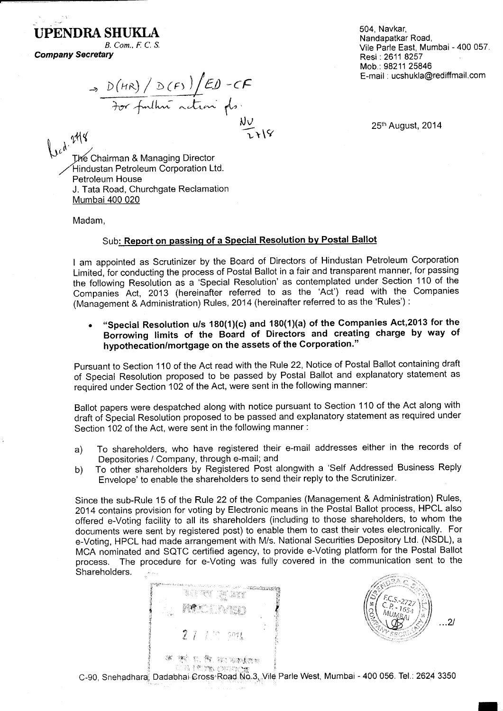# UPENDRA SHUKLA

B. Com., F. C. S. **Company Secretary** 

504 Navkar Nandapatkar Road. Vile Parle East, Mumbai - 400 057. Resi: 2611 8257 Mob.: 98211 25846 E-mail: ucshukla@rediffmail.com

 $\Rightarrow$   $D(HR)/D(F) /ED-CF$ <br> $\Rightarrow$   $D(HR)/D(F) /ED-CF$ <br> $\Rightarrow$   $D(T) /C$ 

25th August, 2014

Led. 248 The Chairman & Managing Director Hindustan Petroleum Corporation Ltd. Petroleum House J. Tata Road, Churchgate Reclamation Mumbai 400 020

Madam.

### Sub: Report on passing of a Special Resolution by Postal Ballot

I am appointed as Scrutinizer by the Board of Directors of Hindustan Petroleum Corporation Limited, for conducting the process of Postal Ballot in a fair and transparent manner, for passing the following Resolution as a 'Special Resolution' as contemplated under Section 110 of the Companies Act, 2013 (hereinafter referred to as the 'Act') read with the Companies (Management & Administration) Rules, 2014 (hereinafter referred to as the 'Rules'):

"Special Resolution u/s 180(1)(c) and 180(1)(a) of the Companies Act, 2013 for the Borrowing limits of the Board of Directors and creating charge by way of hypothecation/mortgage on the assets of the Corporation."

Pursuant to Section 110 of the Act read with the Rule 22, Notice of Postal Ballot containing draft of Special Resolution proposed to be passed by Postal Ballot and explanatory statement as required under Section 102 of the Act, were sent in the following manner:

Ballot papers were despatched along with notice pursuant to Section 110 of the Act along with draft of Special Resolution proposed to be passed and explanatory statement as required under Section 102 of the Act, were sent in the following manner:

- To shareholders, who have registered their e-mail addresses either in the records of  $a)$ Depositories / Company, through e-mail; and
- To other shareholders by Registered Post alongwith a 'Self Addressed Business Reply  $b)$ Envelope' to enable the shareholders to send their reply to the Scrutinizer.

Since the sub-Rule 15 of the Rule 22 of the Companies (Management & Administration) Rules, 2014 contains provision for voting by Electronic means in the Postal Ballot process, HPCL also offered e-Voting facility to all its shareholders (including to those shareholders, to whom the documents were sent by registered post) to enable them to cast their votes electronically. For e-Voting, HPCL had made arrangement with M/s. National Securities Depository Ltd. (NSDL), a MCA nominated and SQTC certified agency, to provide e-Voting platform for the Postal Ballot The procedure for e-Voting was fully covered in the communication sent to the process. Shareholders.

e de la política de 27 1 m mm 36. 360 ti, 84, 940 Waddens **CAPTE OFFICE** 



C-90, Snehadhara, Dadabhai Cross Road No.3, Vile Parle West, Mumbai - 400 056. Tel.: 2624 3350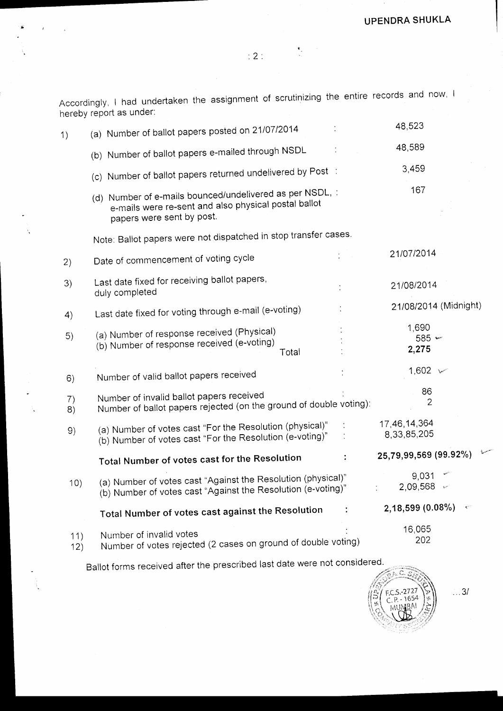Accordingly, I had undertaken the assignment of scrutinizing the entire records and now, I hereby report as under:

| 1)         | (a) Number of ballot papers posted on 21/07/2014                                                                                              | 48,523                      |
|------------|-----------------------------------------------------------------------------------------------------------------------------------------------|-----------------------------|
|            | (b) Number of ballot papers e-mailed through NSDL                                                                                             | 48,589                      |
|            | (c) Number of ballot papers returned undelivered by Post :                                                                                    | 3,459                       |
|            | (d) Number of e-mails bounced/undelivered as per NSDL, :<br>e-mails were re-sent and also physical postal ballot<br>papers were sent by post. | 167                         |
|            | Note: Ballot papers were not dispatched in stop transfer cases.                                                                               |                             |
| 2)         | Date of commencement of voting cycle                                                                                                          | 21/07/2014                  |
| 3)         | Last date fixed for receiving ballot papers,<br>duly completed                                                                                | 21/08/2014                  |
| 4)         | Last date fixed for voting through e-mail (e-voting)                                                                                          | 21/08/2014 (Midnight)       |
| 5)         | (a) Number of response received (Physical)<br>(b) Number of response received (e-voting)<br>Total                                             | 1,690<br>$585 -$<br>2,275   |
| 6)         | Number of valid ballot papers received                                                                                                        | 1,602 $\sim$                |
| 7)<br>8)   | Number of invalid ballot papers received<br>Number of ballot papers rejected (on the ground of double voting):                                | 86<br>2                     |
| 9)         | (a) Number of votes cast "For the Resolution (physical)"<br>(b) Number of votes cast "For the Resolution (e-voting)"                          | 17,46,14,364<br>8,33,85,205 |
|            | Total Number of votes cast for the Resolution                                                                                                 | 25,79,99,569 (99.92%)       |
| 10)        | (a) Number of votes cast "Against the Resolution (physical)"<br>(b) Number of votes cast "Against the Resolution (e-voting)"                  | 9,031<br>2,09,568           |
|            | Total Number of votes cast against the Resolution                                                                                             | $2,18,599(0.08\%)$          |
| 11)<br>12) | Number of invalid votes<br>Number of votes rejected (2 cases on ground of double voting)                                                      | 16,065<br>202               |

Ballot forms received after the prescribed last date were not considered.

À

 $\ldots$ 3/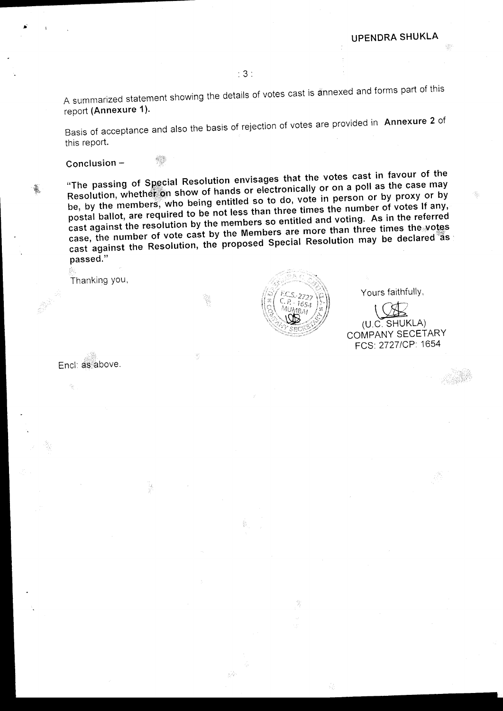A summarized statement showing the details of votes cast is annexed and forms part of this report (Annexure 1).

Basis of acceptance and also the basis of rejection of votes are provided in Annexure 2 of this report.

Conclusion  $-$ 

觻

"The passing of Special Resolution envisages that the votes cast in favour of the Resolution, whether on show of hands or electronically or on a poll as the case may be, by the members, who being entitled so to do, vote in person or by proxy or by postal ballot, are required to be not less than three times the number of votes If any, cast against the resolution by the members so entitled and voting. As in the referred case, the number of vote cast by the Members are more than three times the votes cast against the Resolution, the proposed Special Resolution may be declared as passed."

tiÀ

Thanking you,

Yours faithfully,

(U.C. SHUKLA) COMPANY SECETARY FCS: 2727/CP: 1654

Encl: as above.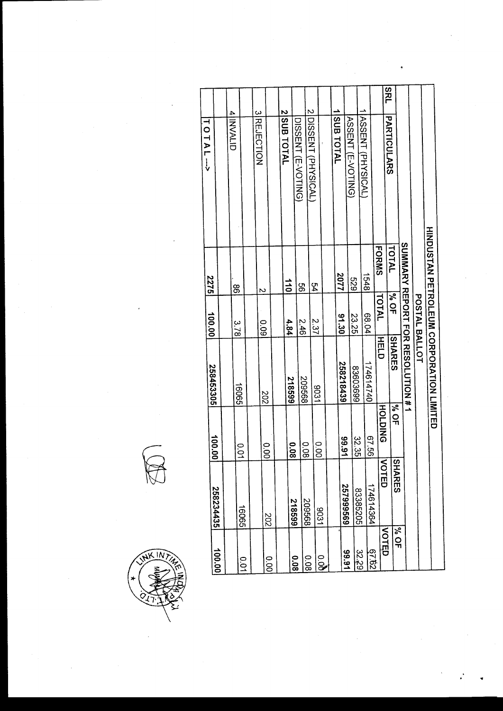|                         |                                |            | 258453305                                 | 100.00        | 2275           | TOTAL-->                 |            |
|-------------------------|--------------------------------|------------|-------------------------------------------|---------------|----------------|--------------------------|------------|
| 10.001                  | 258234435                      | 100.00     |                                           |               |                |                          |            |
|                         |                                |            |                                           |               |                | <b>4 INVALID</b>         |            |
| ိ                       | 16065                          | 0.01       | 16065                                     | 3.78          | 88             |                          |            |
|                         |                                |            |                                           |               |                |                          |            |
|                         |                                |            | 202                                       | 600           | Z              | 3REJECTION               |            |
| o.o                     | 202                            | 000        |                                           |               |                |                          |            |
|                         |                                |            |                                           |               |                | 2 SUB TOTAL              |            |
| 80.0                    | 218599                         | 800        | 548599                                    | 4.84          | $\frac{1}{10}$ |                          |            |
|                         | 899607                         | 0.08       | 899602                                    | 2.46          | 99             | DISSENT (E-VOTING)       |            |
| 80.0                    |                                |            | 1806                                      | 2.37          | $\frac{1}{2}$  | 2 PISSENT (PHYSICAL)     |            |
| 9.05                    | 1206                           | 00.00      |                                           |               |                |                          |            |
|                         |                                |            |                                           |               |                | SUB TOTAL                |            |
| 16'66                   | 2579995569                     | 16.66      | 258218439                                 | 05.30         | 2077           |                          |            |
|                         | 83385205                       | 32.35      | 66920928                                  | 23.25         | 673            | <b>ASSENT (E-VOTING)</b> |            |
| 32.29                   |                                |            |                                           |               | 1548           | ASSENT (PHYSICAL)        |            |
| 29.29                   | 174614364                      | 87.56      | 174614740                                 | 68.04         |                |                          |            |
| <b>NOTED</b>            | ζ<br><b>OTED</b>               | HOLDING    | HELD                                      | TOTAL         | <b>FORMS</b>   |                          |            |
|                         | $\overline{S}$<br><b>HARES</b> | <b>SOF</b> | <b>SHARES</b>                             | <b>No of</b>  | TOTAL          | PARTICULARS              | <b>SRL</b> |
| <b>P<sub>V</sub></b> OF |                                |            | <b>SUMMARY REPORT FOR RESOLUTION #7</b>   |               |                |                          |            |
|                         |                                |            |                                           |               |                |                          |            |
|                         |                                |            |                                           | POSTAL BALLOT |                |                          |            |
|                         |                                |            | <b>HINDOSTAN PETROPARTION CORPORATION</b> |               |                |                          |            |
|                         |                                |            |                                           |               |                |                          |            |